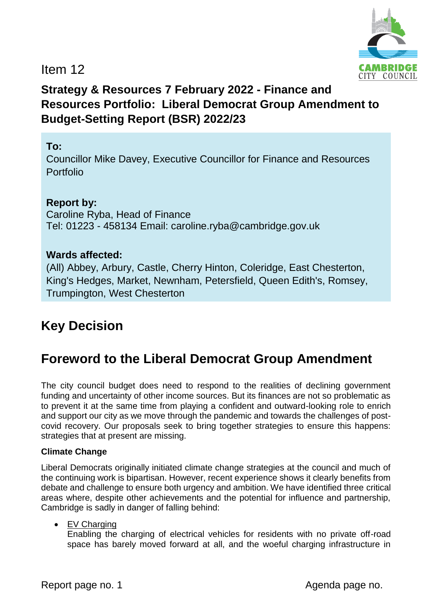

Item 12

# **Strategy & Resources 7 February 2022 - Finance and Resources Portfolio: Liberal Democrat Group Amendment to Budget-Setting Report (BSR) 2022/23**

# **To:**

Councillor Mike Davey, Executive Councillor for Finance and Resources Portfolio

# **Report by:**

Caroline Ryba, Head of Finance Tel: 01223 - 458134 Email: caroline.ryba@cambridge.gov.uk

# **Wards affected:**

(All) Abbey, Arbury, Castle, Cherry Hinton, Coleridge, East Chesterton, King's Hedges, Market, Newnham, Petersfield, Queen Edith's, Romsey, Trumpington, West Chesterton

# **Key Decision**

# **Foreword to the Liberal Democrat Group Amendment**

The city council budget does need to respond to the realities of declining government funding and uncertainty of other income sources. But its finances are not so problematic as to prevent it at the same time from playing a confident and outward-looking role to enrich and support our city as we move through the pandemic and towards the challenges of postcovid recovery. Our proposals seek to bring together strategies to ensure this happens: strategies that at present are missing.

#### **Climate Change**

Liberal Democrats originally initiated climate change strategies at the council and much of the continuing work is bipartisan. However, recent experience shows it clearly benefits from debate and challenge to ensure both urgency and ambition. We have identified three critical areas where, despite other achievements and the potential for influence and partnership, Cambridge is sadly in danger of falling behind:

#### • EV Charging

Enabling the charging of electrical vehicles for residents with no private off-road space has barely moved forward at all, and the woeful charging infrastructure in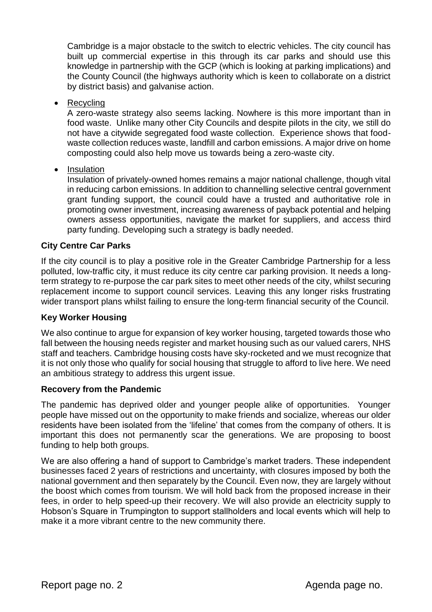Cambridge is a major obstacle to the switch to electric vehicles. The city council has built up commercial expertise in this through its car parks and should use this knowledge in partnership with the GCP (which is looking at parking implications) and the County Council (the highways authority which is keen to collaborate on a district by district basis) and galvanise action.

• Recycling

A zero-waste strategy also seems lacking. Nowhere is this more important than in food waste. Unlike many other City Councils and despite pilots in the city, we still do not have a citywide segregated food waste collection. Experience shows that foodwaste collection reduces waste, landfill and carbon emissions. A major drive on home composting could also help move us towards being a zero-waste city.

• Insulation

Insulation of privately-owned homes remains a major national challenge, though vital in reducing carbon emissions. In addition to channelling selective central government grant funding support, the council could have a trusted and authoritative role in promoting owner investment, increasing awareness of payback potential and helping owners assess opportunities, navigate the market for suppliers, and access third party funding. Developing such a strategy is badly needed.

#### **City Centre Car Parks**

If the city council is to play a positive role in the Greater Cambridge Partnership for a less polluted, low-traffic city, it must reduce its city centre car parking provision. It needs a longterm strategy to re-purpose the car park sites to meet other needs of the city, whilst securing replacement income to support council services. Leaving this any longer risks frustrating wider transport plans whilst failing to ensure the long-term financial security of the Council.

#### **Key Worker Housing**

We also continue to argue for expansion of key worker housing, targeted towards those who fall between the housing needs register and market housing such as our valued carers, NHS staff and teachers. Cambridge housing costs have sky-rocketed and we must recognize that it is not only those who qualify for social housing that struggle to afford to live here. We need an ambitious strategy to address this urgent issue.

#### **Recovery from the Pandemic**

The pandemic has deprived older and younger people alike of opportunities. Younger people have missed out on the opportunity to make friends and socialize, whereas our older residents have been isolated from the 'lifeline' that comes from the company of others. It is important this does not permanently scar the generations. We are proposing to boost funding to help both groups.

We are also offering a hand of support to Cambridge's market traders. These independent businesses faced 2 years of restrictions and uncertainty, with closures imposed by both the national government and then separately by the Council. Even now, they are largely without the boost which comes from tourism. We will hold back from the proposed increase in their fees, in order to help speed-up their recovery. We will also provide an electricity supply to Hobson's Square in Trumpington to support stallholders and local events which will help to make it a more vibrant centre to the new community there.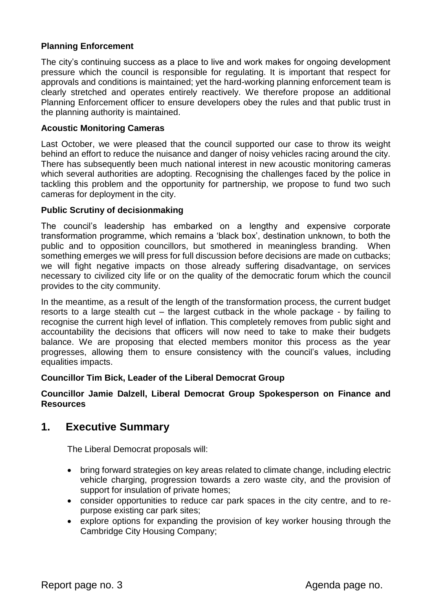#### **Planning Enforcement**

The city's continuing success as a place to live and work makes for ongoing development pressure which the council is responsible for regulating. It is important that respect for approvals and conditions is maintained; yet the hard-working planning enforcement team is clearly stretched and operates entirely reactively. We therefore propose an additional Planning Enforcement officer to ensure developers obey the rules and that public trust in the planning authority is maintained.

#### **Acoustic Monitoring Cameras**

Last October, we were pleased that the council supported our case to throw its weight behind an effort to reduce the nuisance and danger of noisy vehicles racing around the city. There has subsequently been much national interest in new acoustic monitoring cameras which several authorities are adopting. Recognising the challenges faced by the police in tackling this problem and the opportunity for partnership, we propose to fund two such cameras for deployment in the city.

#### **Public Scrutiny of decisionmaking**

The council's leadership has embarked on a lengthy and expensive corporate transformation programme, which remains a 'black box', destination unknown, to both the public and to opposition councillors, but smothered in meaningless branding. When something emerges we will press for full discussion before decisions are made on cutbacks; we will fight negative impacts on those already suffering disadvantage, on services necessary to civilized city life or on the quality of the democratic forum which the council provides to the city community.

In the meantime, as a result of the length of the transformation process, the current budget resorts to a large stealth cut – the largest cutback in the whole package - by failing to recognise the current high level of inflation. This completely removes from public sight and accountability the decisions that officers will now need to take to make their budgets balance. We are proposing that elected members monitor this process as the year progresses, allowing them to ensure consistency with the council's values, including equalities impacts.

#### **Councillor Tim Bick, Leader of the Liberal Democrat Group**

#### **Councillor Jamie Dalzell, Liberal Democrat Group Spokesperson on Finance and Resources**

### **1. Executive Summary**

The Liberal Democrat proposals will:

- bring forward strategies on key areas related to climate change, including electric vehicle charging, progression towards a zero waste city, and the provision of support for insulation of private homes;
- consider opportunities to reduce car park spaces in the city centre, and to repurpose existing car park sites;
- explore options for expanding the provision of key worker housing through the Cambridge City Housing Company;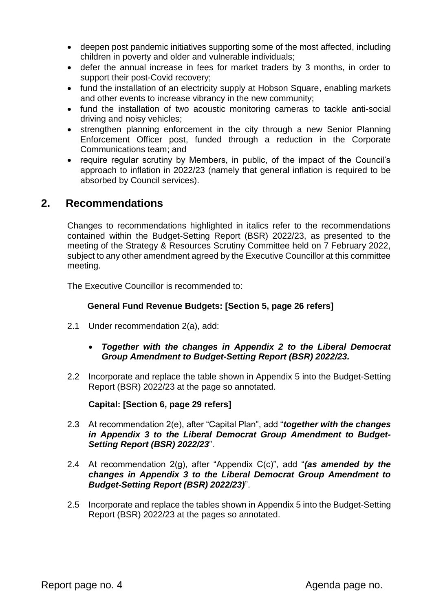- deepen post pandemic initiatives supporting some of the most affected, including children in poverty and older and vulnerable individuals;
- defer the annual increase in fees for market traders by 3 months, in order to support their post-Covid recovery;
- fund the installation of an electricity supply at Hobson Square, enabling markets and other events to increase vibrancy in the new community;
- fund the installation of two acoustic monitoring cameras to tackle anti-social driving and noisy vehicles;
- strengthen planning enforcement in the city through a new Senior Planning Enforcement Officer post, funded through a reduction in the Corporate Communications team; and
- require regular scrutiny by Members, in public, of the impact of the Council's approach to inflation in 2022/23 (namely that general inflation is required to be absorbed by Council services).

# **2. Recommendations**

Changes to recommendations highlighted in italics refer to the recommendations contained within the Budget-Setting Report (BSR) 2022/23, as presented to the meeting of the Strategy & Resources Scrutiny Committee held on 7 February 2022, subject to any other amendment agreed by the Executive Councillor at this committee meeting.

The Executive Councillor is recommended to:

#### **General Fund Revenue Budgets: [Section 5, page 26 refers]**

- 2.1 Under recommendation 2(a), add:
	- *Together with the changes in Appendix 2 to the Liberal Democrat Group Amendment to Budget-Setting Report (BSR) 2022/23.*
- 2.2 Incorporate and replace the table shown in Appendix 5 into the Budget-Setting Report (BSR) 2022/23 at the page so annotated.

#### **Capital: [Section 6, page 29 refers]**

- 2.3 At recommendation 2(e), after "Capital Plan", add "*together with the changes in Appendix 3 to the Liberal Democrat Group Amendment to Budget-Setting Report (BSR) 2022/23*".
- 2.4 At recommendation 2(g), after "Appendix C(c)", add "*(as amended by the changes in Appendix 3 to the Liberal Democrat Group Amendment to Budget-Setting Report (BSR) 2022/23)*".
- 2.5 Incorporate and replace the tables shown in Appendix 5 into the Budget-Setting Report (BSR) 2022/23 at the pages so annotated.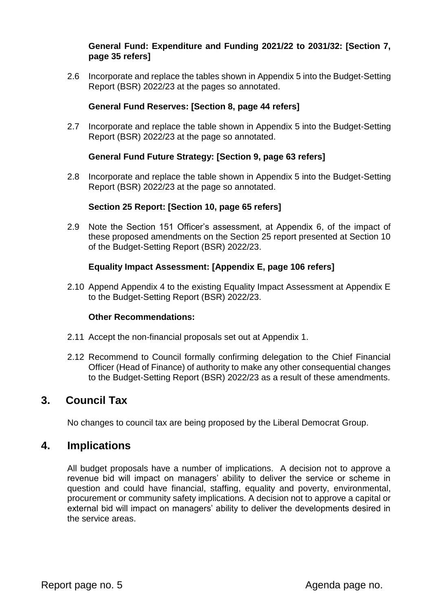#### **General Fund: Expenditure and Funding 2021/22 to 2031/32: [Section 7, page 35 refers]**

2.6 Incorporate and replace the tables shown in Appendix 5 into the Budget-Setting Report (BSR) 2022/23 at the pages so annotated.

#### **General Fund Reserves: [Section 8, page 44 refers]**

2.7 Incorporate and replace the table shown in Appendix 5 into the Budget-Setting Report (BSR) 2022/23 at the page so annotated.

#### **General Fund Future Strategy: [Section 9, page 63 refers]**

2.8 Incorporate and replace the table shown in Appendix 5 into the Budget-Setting Report (BSR) 2022/23 at the page so annotated.

#### **Section 25 Report: [Section 10, page 65 refers]**

2.9 Note the Section 151 Officer's assessment, at Appendix 6, of the impact of these proposed amendments on the Section 25 report presented at Section 10 of the Budget-Setting Report (BSR) 2022/23.

#### **Equality Impact Assessment: [Appendix E, page 106 refers]**

2.10 Append Appendix 4 to the existing Equality Impact Assessment at Appendix E to the Budget-Setting Report (BSR) 2022/23.

#### **Other Recommendations:**

- 2.11 Accept the non-financial proposals set out at Appendix 1.
- 2.12 Recommend to Council formally confirming delegation to the Chief Financial Officer (Head of Finance) of authority to make any other consequential changes to the Budget-Setting Report (BSR) 2022/23 as a result of these amendments.

# **3. Council Tax**

No changes to council tax are being proposed by the Liberal Democrat Group.

### **4. Implications**

All budget proposals have a number of implications. A decision not to approve a revenue bid will impact on managers' ability to deliver the service or scheme in question and could have financial, staffing, equality and poverty, environmental, procurement or community safety implications. A decision not to approve a capital or external bid will impact on managers' ability to deliver the developments desired in the service areas.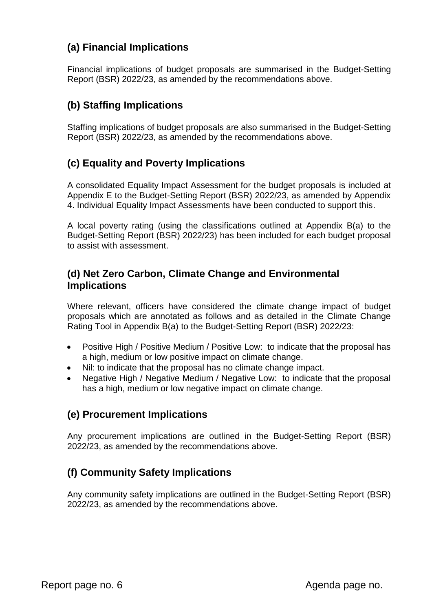# **(a) Financial Implications**

Financial implications of budget proposals are summarised in the Budget-Setting Report (BSR) 2022/23, as amended by the recommendations above.

# **(b) Staffing Implications**

Staffing implications of budget proposals are also summarised in the Budget-Setting Report (BSR) 2022/23, as amended by the recommendations above.

# **(c) Equality and Poverty Implications**

A consolidated Equality Impact Assessment for the budget proposals is included at Appendix E to the Budget-Setting Report (BSR) 2022/23, as amended by Appendix 4. Individual Equality Impact Assessments have been conducted to support this.

A local poverty rating (using the classifications outlined at Appendix B(a) to the Budget-Setting Report (BSR) 2022/23) has been included for each budget proposal to assist with assessment.

### **(d) Net Zero Carbon, Climate Change and Environmental Implications**

Where relevant, officers have considered the climate change impact of budget proposals which are annotated as follows and as detailed in the Climate Change Rating Tool in Appendix B(a) to the Budget-Setting Report (BSR) 2022/23:

- Positive High / Positive Medium / Positive Low: to indicate that the proposal has a high, medium or low positive impact on climate change.
- Nil: to indicate that the proposal has no climate change impact.
- Negative High / Negative Medium / Negative Low: to indicate that the proposal has a high, medium or low negative impact on climate change.

# **(e) Procurement Implications**

Any procurement implications are outlined in the Budget-Setting Report (BSR) 2022/23, as amended by the recommendations above.

# **(f) Community Safety Implications**

Any community safety implications are outlined in the Budget-Setting Report (BSR) 2022/23, as amended by the recommendations above.